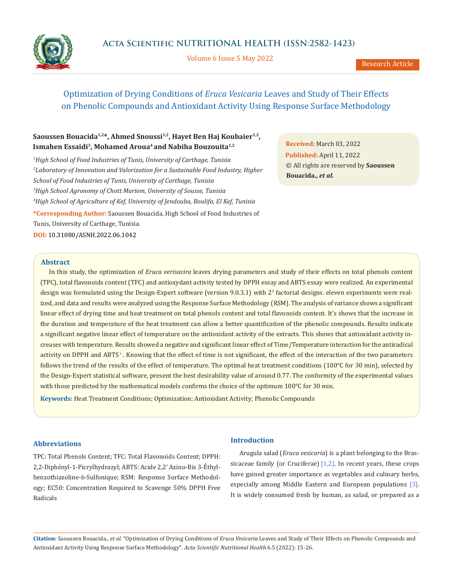Volume 6 Issue 5 May 2022

# Optimization of Drying Conditions of *Eruca Vesicaria* Leaves and Study of Their Effects on Phenolic Compounds and Antioxidant Activity Using Response Surface Methodology

# Saoussen Bouacida<sup>1,2\*</sup>, Ahmed Snoussi<sup>1,2</sup>, Hayet Ben Haj Koubaier<sup>1,2</sup>, Ismahen Essaidi<sup>3</sup>, Mohamed Aroua<sup>4</sup> and Nabiha Bouzouita<sup>1,2</sup>

 *High School of Food Industries of Tunis, University of Carthage, Tunisia Laboratory of Innovation and Valorization for a Sustainable Food Industry, Higher School of Food Industries of Tunis, University of Carthage, Tunisia High School Agronomy of Chott Mariem, University of Sousse, Tunisia High School of Agriculture of Kef, University of Jendouba, Boulifa, El Kef, Tunisia*

**\*Corresponding Author:** Saoussen Bouacida, High School of Food Industries of Tunis, University of Carthage, Tunisia. **DOI:** [10.31080/ASNH.2022.06.1042](https://actascientific.com/ASNH/pdf/ASNH-06-1042.pdf)

**Received:** March 03, 2022 **Published:** April 11, 2022 © All rights are reserved by **Saoussen Bouacida.,** *et al.*

### **Abstract**

In this study, the optimization of *Eruca verisacira* leaves drying parameters and study of their effects on total phenols content (TPC), total flavonoids content (TFC) and antioxydant activity tested by DPPH essay and ABTS essay were realized. An experimental design was formulated using the Design-Expert software (version 9.0.3.1) with 2<sup>3</sup> factorial designs. eleven experiments were realized, and data and results were analyzed using the Response Surface Methodology (RSM). The analysis of variance shows a significant linear effect of drying time and heat treatment on total phenols content and total flavonoids content. It's shows that the increase in the duration and temperature of the heat treatment can allow a better quantification of the phenolic compounds. Results indicate a significant negative linear effect of temperature on the antioxidant activity of the extracts. This shows that antioxidant activity increases with temperature. Results showed a negative and significant linear effect of Time/Temperature interaction for the antiradical activity on DPPH and ABTS<sup>+</sup>. Knowing that the effect of time is not significant, the effect of the interaction of the two parameters follows the trend of the results of the effect of temperature. The optimal heat treatment conditions (100°C for 30 min), selected by the Design-Expert statistical software, present the best desirability value of around 0.77. The conformity of the experimental values with those predicted by the mathematical models confirms the choice of the optimum 100°C for 30 min.

**Keywords:** Heat Treatment Conditions; Optimization; Antioxidant Activity; Phenolic Compounds

## **Abbreviations**

TPC: Total Phenols Content; TFC: Total Flavonoids Content; DPPH: 2,2-Diphényl-1-Picrylhydrazyl; ABTS: Acide 2,2' Azino-Bis 3-Éthylbenzothiazoline-6-Sulfonique; RSM: Response Surface Methodology; EC50: Concentration Required to Scavenge 50% DPPH Free Radicals

### **Introduction**

Arugula salad (*Eruca vesicaria*) is a plant belonging to the Brassicaceae family (or Cruciferae)  $[1,2]$ . In recent years, these crops have gained greater importance as vegetables and culinary herbs, especially among Middle Eastern and European populations [3]. It is widely consumed fresh by human, as salad, or prepared as a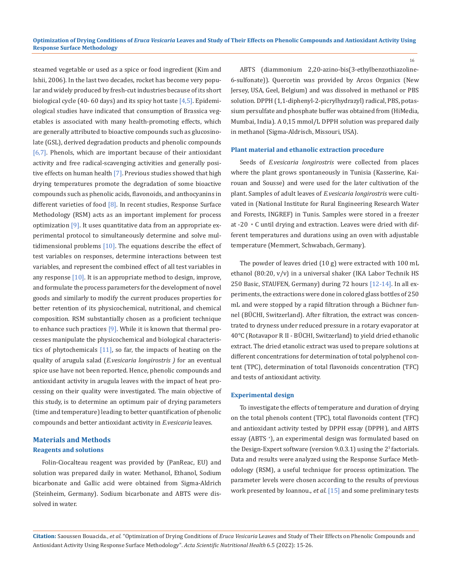steamed vegetable or used as a spice or food ingredient (Kim and Ishii, 2006). In the last two decades, rocket has become very popular and widely produced by fresh-cut industries because of its short biological cycle (40-60 days) and its spicy hot taste  $[4,5]$ . Epidemiological studies have indicated that consumption of Brassica vegetables is associated with many health-promoting effects, which are generally attributed to bioactive compounds such as glucosinolate (GSL), derived degradation products and phenolic compounds [6,7]. Phenols, which are important because of their antioxidant activity and free radical-scavenging activities and generally positive effects on human health [7]. Previous studies showed that high drying temperatures promote the degradation of some bioactive compounds such as phenolic acids, flavonoids, and anthocyanins in different varieties of food [8]. In recent studies, Response Surface Methodology (RSM) acts as an important implement for process optimization [9]. It uses quantitative data from an appropriate experimental protocol to simultaneously determine and solve multidimensional problems  $[10]$ . The equations describe the effect of test variables on responses, determine interactions between test variables, and represent the combined effect of all test variables in any response  $[10]$ . It is an appropriate method to design, improve, and formulate the process parameters for the development of novel goods and similarly to modify the current produces properties for better retention of its physicochemical, nutritional, and chemical composition. RSM substantially chosen as a proficient technique to enhance such practices  $[9]$ . While it is known that thermal processes manipulate the physicochemical and biological characteristics of phytochemicals  $[11]$ , so far, the impacts of heating on the quality of arugula salad (*E.vesicaria longirostris )* for an eventual spice use have not been reported. Hence, phenolic compounds and antioxidant activity in arugula leaves with the impact of heat processing on their quality were investigated. The main objective of this study, is to determine an optimum pair of drying parameters (time and temperature) leading to better quantification of phenolic compounds and better antioxidant activity in *E.vesicaria* leaves.

# **Materials and Methods Reagents and solutions**

Folin-Ciocalteau reagent was provided by (PanReac, EU) and solution was prepared daily in water. Methanol, Ethanol, Sodium bicarbonate and Gallic acid were obtained from Sigma-Aldrich (Steinheim, Germany). Sodium bicarbonate and ABTS were dissolved in water.

ABTS (diammonium 2,20-azino-bis(3-ethylbenzothiazoline-6-sulfonate)). Quercetin was provided by Arcos Organics (New Jersey, USA, Geel, Belgium) and was dissolved in methanol or PBS solution. DPPH (1,1-diphenyl-2-picrylhydrazyl) radical, PBS, potassium persulfate and phosphate buffer was obtained from (HiMedia, Mumbai, India). A 0,15 mmol/L DPPH solution was prepared daily in methanol (Sigma-Aldrisch, Missouri, USA).

#### **Plant material and ethanolic extraction procedure**

Seeds of *E.vesicaria longirostris* were collected from places where the plant grows spontaneously in Tunisia (Kasserine, Kairouan and Sousse) and were used for the later cultivation of the plant. Samples of adult leaves of *E.vesicaria longirostris* were cultivated in (National Institute for Rural Engineering Research Water and Forests, INGREF) in Tunis. Samples were stored in a freezer at -20 ◦C until drying and extraction. Leaves were dried with different temperatures and durations using an oven with adjustable temperature (Memmert, Schwabach, Germany).

The powder of leaves dried (10 g) were extracted with 100 mL ethanol (80:20, v/v) in a universal shaker (IKA Labor Technik HS 250 Basic, STAUFEN, Germany) during 72 hours [12-14]. In all experiments, the extractions were done in colored glass bottles of 250 mL and were stopped by a rapid filtration through a Büchner funnel (BÜCHI, Switzerland). After filtration, the extract was concentrated to dryness under reduced pressure in a rotary evaporator at 40°C (Rotavapor R II - BÜCHI, Switzerland) to yield dried ethanolic extract. The dried etanolic extract was used to prepare solutions at different concentrations for determination of total polyphenol content (TPC), determination of total flavonoids concentration (TFC) and tests of antioxidant activity.

#### **Experimental design**

To investigate the effects of temperature and duration of drying on the total phenols content (TPC), total flavonoids content (TFC) and antioxidant activity tested by DPPH essay (DPPH. ), and ABTS essay (ABTS<sup>+</sup>), an experimental design was formulated based on the Design-Expert software (version 9.0.3.1) using the 2<sup>3</sup> factorials. Data and results were analyzed using the Response Surface Methodology (RSM), a useful technique for process optimization. The parameter levels were chosen according to the results of previous work presented by Ioannou., *et al*. [15] and some preliminary tests

**Citation:** Saoussen Bouacida., *et al.* "Optimization of Drying Conditions of *Eruca Vesicaria* Leaves and Study of Their Effects on Phenolic Compounds and Antioxidant Activity Using Response Surface Methodology". *Acta Scientific Nutritional Health* 6.5 (2022): 15-26.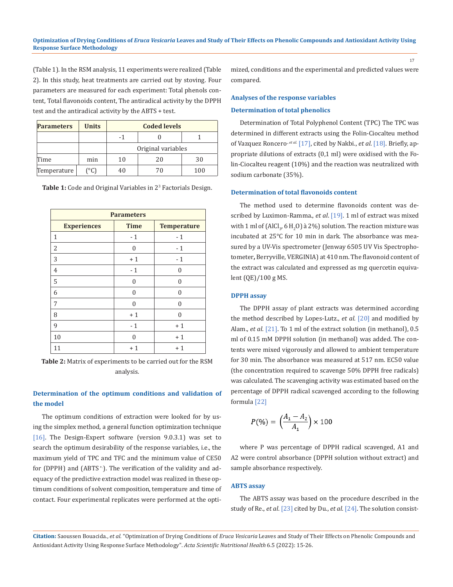(Table 1). In the RSM analysis, 11 experiments were realized (Table 2). In this study, heat treatments are carried out by stoving. Four parameters are measured for each experiment: Total phenols content, Total flavonoids content, The antiradical activity by the DPPH test and the antiradical activity by the ABTS + test.

| <b>Parameters</b> | <b>Units</b> | <b>Coded levels</b> |    |     |  |
|-------------------|--------------|---------------------|----|-----|--|
|                   |              |                     |    |     |  |
|                   |              | Original variables  |    |     |  |
| Time              | min          | 10                  | 20 | 30  |  |
| Temperature       | °C)          | 4በ                  | 70 | 100 |  |

**Table 1:** Code and Original Variables in 2<sup>3</sup> Factorials Design.

| <b>Parameters</b>  |                    |          |  |  |  |
|--------------------|--------------------|----------|--|--|--|
| <b>Experiences</b> | <b>Temperature</b> |          |  |  |  |
| 1                  | $-1$               | $-1$     |  |  |  |
| $\overline{2}$     | 0                  | $-1$     |  |  |  |
| 3                  | $+1$               | $-1$     |  |  |  |
| $\overline{4}$     | $-1$               | O        |  |  |  |
| 5                  | O                  | $\Omega$ |  |  |  |
| 6                  | $\Omega$           | $\Omega$ |  |  |  |
| 7                  | $\Omega$           | $\Omega$ |  |  |  |
| 8                  | $+1$               | $\Omega$ |  |  |  |
| 9                  | $-1$               | $+1$     |  |  |  |
| 10                 | 0                  | $+1$     |  |  |  |
| 11                 | $+1$               | $+1$     |  |  |  |

**Table 2:** Matrix of experiments to be carried out for the RSM analysis.

# **Determination of the optimum conditions and validation of the model**

The optimum conditions of extraction were looked for by using the simplex method, a general function optimization technique [16]. The Design-Expert software (version 9.0.3.1) was set to search the optimum desirability of the response variables, i.e., the maximum yield of TPC and TFC and the minimum value of CE50 for (DPPH) and (ABTS <sup>+</sup>). The verification of the validity and adequacy of the predictive extraction model was realized in these optimum conditions of solvent composition, temperature and time of contact. Four experimental replicates were performed at the optimized, conditions and the experimental and predicted values were compared.

#### **Analyses of the response variables**

#### **Determination of total phenolics**

Determination of Total Polyphenol Content (TPC) The TPC was determined in different extracts using the Folin-Ciocalteu method of Vazquez Roncero<sup>, et al.</sup> [17], cited by Nakbi., et al. [18]. Briefly, appropriate dilutions of extracts (0,1 ml) were oxidised with the Folin-Ciocalteu reagent (10%) and the reaction was neutralized with sodium carbonate (35%).

#### **Determination of total flavonoids content**

The method used to determine flavonoids content was described by Luximon-Ramma., *et al*. [19]. 1 ml of extract was mixed with 1 ml of (AlCl<sub>3</sub>, 6 H<sub>2</sub>O) à 2%) solution. The reaction mixture was incubated at 25°C for 10 min in dark. The absorbance was measured by a UV-Vis spectrometer (Jenway 6505 UV Vis Spectrophotometer**,** Berryville, VERGINIA) at 410 nm. The flavonoid content of the extract was calculated and expressed as mg quercetin equivalent (QE)/100 g MS.

#### **DPPH assay**

The DPPH assay of plant extracts was determined according the method described by Lopes-Lutz., *et al*. [20] and modified by Alam., *et al*. [21]. To 1 ml of the extract solution (in methanol), 0.5 ml of 0.15 mM DPPH solution (in methanol) was added. The contents were mixed vigorously and allowed to ambient temperature for 30 min. The absorbance was measured at 517 nm. EC50 value (the concentration required to scavenge 50% DPPH free radicals) was calculated. The scavenging activity was estimated based on the percentage of DPPH radical scavenged according to the following formula [22]

$$
P(\%)=\left(\frac{A_1 - A_2}{A_1}\right) \times 100
$$

where P was percentage of DPPH radical scavenged, A1 and A2 were control absorbance (DPPH solution without extract) and sample absorbance respectively.

#### **ABTS assay**

The ABTS assay was based on the procedure described in the study of Re., *et al*. [23] cited by Du., *et al*. [24]. The solution consist-

**Citation:** Saoussen Bouacida., *et al.* "Optimization of Drying Conditions of *Eruca Vesicaria* Leaves and Study of Their Effects on Phenolic Compounds and Antioxidant Activity Using Response Surface Methodology". *Acta Scientific Nutritional Health* 6.5 (2022): 15-26.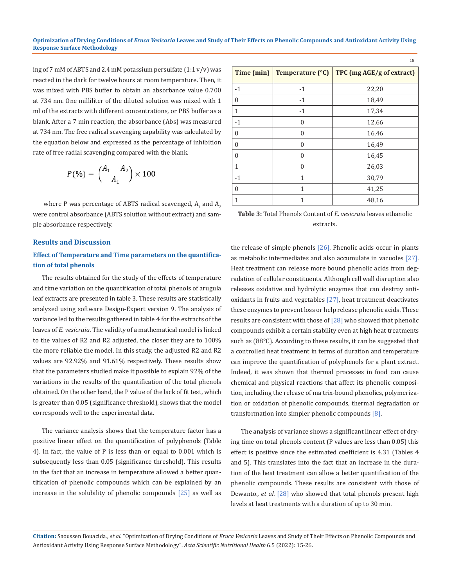ing of 7 mM of ABTS and 2.4 mM potassium persulfate (1:1 v/v) was reacted in the dark for twelve hours at room temperature. Then, it was mixed with PBS buffer to obtain an absorbance value 0.700 at 734 nm. One milliliter of the diluted solution was mixed with 1 ml of the extracts with different concentrations, or PBS buffer as a blank. After a 7 min reaction, the absorbance (Abs) was measured at 734 nm. The free radical scavenging capability was calculated by the equation below and expressed as the percentage of inhibition rate of free radial scavenging compared with the blank.

$$
P(\%) = \left(\frac{A_1 - A_2}{A_1}\right) \times 100
$$

where P was percentage of ABTS radical scavenged,  $A_1$  and  $A_2$ were control absorbance (ABTS solution without extract) and sample absorbance respectively.

#### **Results and Discussion**

## **Effect of Temperature and Time parameters on the quantification of total phenols**

The results obtained for the study of the effects of temperature and time variation on the quantification of total phenols of arugula leaf extracts are presented in table 3. These results are statistically analyzed using software Design-Expert version 9. The analysis of variance led to the results gathered in table 4 for the extracts of the leaves of *E. vesicraia*. The validity of a mathematical model is linked to the values of R2 and R2 adjusted, the closer they are to 100% the more reliable the model. In this study, the adjusted R2 and R2 values are 92.92% and 91.61% respectively. These results show that the parameters studied make it possible to explain 92% of the variations in the results of the quantification of the total phenols obtained. On the other hand, the P value of the lack of fit test, which is greater than 0.05 (significance threshold), shows that the model corresponds well to the experimental data.

The variance analysis shows that the temperature factor has a positive linear effect on the quantification of polyphenols (Table 4). In fact, the value of P is less than or equal to 0.001 which is subsequently less than 0.05 (significance threshold). This results in the fact that an increase in temperature allowed a better quantification of phenolic compounds which can be explained by an increase in the solubility of phenolic compounds [25] as well as

| Time (min)   | Temperature (°C) | TPC (mg AGE/g of extract) |
|--------------|------------------|---------------------------|
| $-1$         | $-1$             | 22,20                     |
| 0            | $-1$             | 18,49                     |
| 1            | $-1$             | 17,34                     |
| $-1$         | $\mathbf{0}$     | 12,66                     |
| 0            | $\mathbf{0}$     | 16,46                     |
| $\theta$     | $\Omega$         | 16,49                     |
| $\Omega$     | $\theta$         | 16,45                     |
| $\mathbf{1}$ | $\theta$         | 26,03                     |
| $-1$         | 1                | 30,79                     |
| $\mathbf{0}$ | 1                | 41,25                     |
| 1            | 1                | 48,16                     |

18

**Table 3:** Total Phenols Content of *E. vesicraia* leaves ethanolic extracts.

the release of simple phenols [26]. Phenolic acids occur in plants as metabolic intermediates and also accumulate in vacuoles [27]. Heat treatment can release more bound phenolic acids from degradation of cellular constituents. Although cell wall disruption also releases oxidative and hydrolytic enzymes that can destroy antioxidants in fruits and vegetables [27], heat treatment deactivates these enzymes to prevent loss or help release phenolic acids. These results are consistent with those of [28] who showed that phenolic compounds exhibit a certain stability even at high heat treatments such as (88°C). According to these results, it can be suggested that a controlled heat treatment in terms of duration and temperature can improve the quantification of polyphenols for a plant extract. Indeed, it was shown that thermal processes in food can cause chemical and physical reactions that affect its phenolic composition, including the release of ma trix-bound phenolics, polymerization or oxidation of phenolic compounds, thermal degradation or transformation into simpler phenolic compounds [8].

 The analysis of variance shows a significant linear effect of drying time on total phenols content (P values are less than 0.05) this effect is positive since the estimated coefficient is 4.31 (Tables 4 and 5). This translates into the fact that an increase in the duration of the heat treatment can allow a better quantification of the phenolic compounds. These results are consistent with those of Dewanto., *et al*. [28] who showed that total phenols present high levels at heat treatments with a duration of up to 30 min.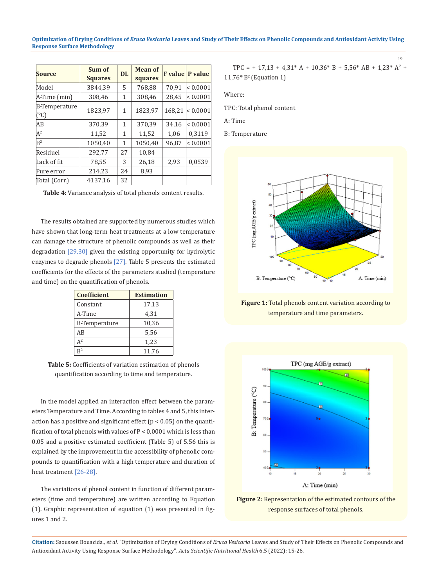#### **Optimization of Drying Conditions of** *Eruca Vesicaria* **Leaves and Study of Their Effects on Phenolic Compounds and Antioxidant Activity Using Response Surface Methodology**

| <b>Source</b>                          | Sum of<br><b>Squares</b> | DL | <b>Mean of</b><br>squares | <b>F</b> value | P value      |
|----------------------------------------|--------------------------|----|---------------------------|----------------|--------------|
| Model                                  | 3844.39                  | 5  | 768,88                    | 70.91          | ${}< 0.0001$ |
| A-Time (min)                           | 308,46                   | 1  | 308,46                    | 28,45          | ${}< 0.0001$ |
| <b>B-Temperature</b><br>$(C^{\circ}C)$ | 1823.97                  | 1  | 1823.97                   | 168.21         | ${}< 0.0001$ |
| AВ                                     | 370,39                   | 1  | 370,39                    | 34,16          | ${}< 0.0001$ |
| $A^2$                                  | 11,52                    | 1  | 11,52                     | 1,06           | 0,3119       |
| $R^2$                                  | 1050.40                  | 1  | 1050.40                   | 96.87          | ${}< 0.0001$ |
| Residuel                               | 292,77                   | 27 | 10,84                     |                |              |
| Lack of fit                            | 78,55                    | 3  | 26,18                     | 2,93           | 0.0539       |
| Pure error                             | 214,23                   | 24 | 8,93                      |                |              |
| Total (Corr.)                          | 4137.16                  | 32 |                           |                |              |

**Table 4:** Variance analysis of total phenols content results.

The results obtained are supported by numerous studies which have shown that long-term heat treatments at a low temperature can damage the structure of phenolic compounds as well as their degradation [29,30] given the existing opportunity for hydrolytic enzymes to degrade phenols [27]. Table 5 presents the estimated coefficients for the effects of the parameters studied (temperature and time) on the quantification of phenols.

| <b>Coefficient</b>   | <b>Estimation</b> |
|----------------------|-------------------|
| Constant             | 17,13             |
| A-Time               | 4,31              |
| <b>B-Temperature</b> | 10.36             |
| AB                   | 5,56              |
| $A^2$                | 1,23              |
| $R^2$                | 11,76             |

**Table 5:** Coefficients of variation estimation of phenols quantification according to time and temperature.

In the model applied an interaction effect between the parameters Temperature and Time. According to tables 4 and 5, this interaction has a positive and significant effect ( $p < 0.05$ ) on the quantification of total phenols with values of P < 0.0001 which is less than 0.05 and a positive estimated coefficient (Table 5) of 5.56 this is explained by the improvement in the accessibility of phenolic compounds to quantification with a high temperature and duration of heat treatment [26-28].

The variations of phenol content in function of different parameters (time and temperature) are written according to Equation (1). Graphic representation of equation (1) was presented in figures 1 and 2.

$$
\text{TPC} = + 17{,}13 + 4{,}31^* \text{ A} + 10{,}36^* \text{ B} + 5{,}56^* \text{ AB} + 1{,}23^* \text{ A}^2 + 11{,}76^* \text{ B}^2 \text{ (Equation 1)}
$$

19

Where:

TPC: Total phenol content

A: Time

B: Temperature



**Figure 1:** Total phenols content variation according to temperature and time parameters.



**Figure 2:** Representation of the estimated contours of the response surfaces of total phenols.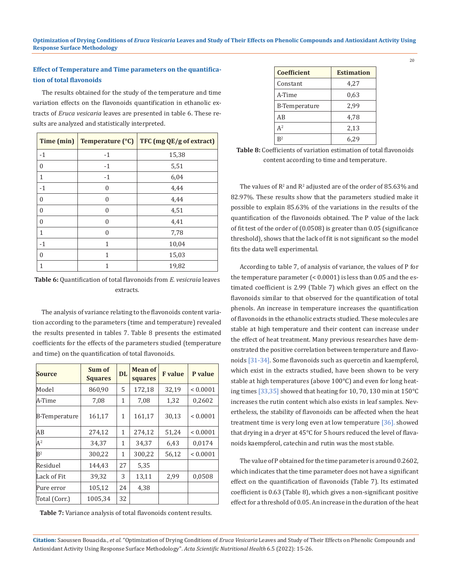# **Effect of Temperature and Time parameters on the quantification of total flavonoids**

The results obtained for the study of the temperature and time variation effects on the flavonoids quantification in ethanolic extracts of *Eruca vesicaria* leaves are presented in table 6. These results are analyzed and statistically interpreted.

|                | Time (min)   Temperature ( $^{\circ}$ C) | TFC (mg QE/g of extract) |
|----------------|------------------------------------------|--------------------------|
| $-1$           | $-1$                                     | 15,38                    |
| 0              | $-1$                                     | 5,51                     |
| 1              | $-1$                                     | 6,04                     |
| $-1$           | $\Omega$                                 | 4,44                     |
| 0              | $\Omega$                                 | 4,44                     |
| $\overline{0}$ | $\Omega$                                 | 4,51                     |
| 0              | $\Omega$                                 | 4,41                     |
| 1              | $\Omega$                                 | 7,78                     |
| $-1$           | 1                                        | 10,04                    |
| 0              | 1                                        | 15,03                    |
| 1              |                                          | 19,82                    |

**Table 6:** Quantification of total flavonoids from *E. vesicraia* leaves extracts.

The analysis of variance relating to the flavonoids content variation according to the parameters (time and temperature) revealed the results presented in tables 7. Table 8 presents the estimated coefficients for the effects of the parameters studied (temperature and time) on the quantification of total flavonoids.

| <b>Source</b> | Sum of<br><b>Squares</b> | <b>DL</b> | Mean of<br>squares | <b>F</b> value | P value      |
|---------------|--------------------------|-----------|--------------------|----------------|--------------|
| Model         | 860,90                   | 5         | 172,18             | 32,19          | ${}< 0.0001$ |
| A-Time        | 7,08                     | 1         | 7,08               | 1,32           | 0,2602       |
| B-Temperature | 161,17                   | 1         | 161,17             | 30,13          | ${}< 0.0001$ |
| ΙAΒ           | 274,12                   | 1         | 274,12             | 51,24          | ${}< 0.0001$ |
| $A^2$         | 34,37                    | 1         | 34,37              | 6,43           | 0.0174       |
| $R^2$         | 300,22                   | 1         | 300,22             | 56,12          | ${}< 0.0001$ |
| Residuel      | 144,43                   | 27        | 5,35               |                |              |
| Lack of Fit   | 39,32                    | 3         | 13,11              | 2,99           | 0,0508       |
| Pure error    | 105,12                   | 24        | 4,38               |                |              |
| Total (Corr.) | 1005.34                  | 32        |                    |                |              |

**Table 7:** Variance analysis of total flavonoids content results.

| <b>Coefficient</b>   | <b>Estimation</b> |
|----------------------|-------------------|
| Constant             | 4,27              |
| A-Time               | 0.63              |
| <b>B-Temperature</b> | 2,99              |
| AB                   | 4,78              |
| $A^2$                | 2,13              |
| $R^2$                | 6.29              |

**Table 8:** Coefficients of variation estimation of total flavonoids content according to time and temperature.

The values of  $\mathbb{R}^2$  and  $\mathbb{R}^2$  adjusted are of the order of 85.63% and 82.97%. These results show that the parameters studied make it possible to explain 85.63% of the variations in the results of the quantification of the flavonoids obtained. The P value of the lack of fit test of the order of (0.0508) is greater than 0.05 (significance threshold), shows that the lack of fit is not significant so the model fits the data well experimental.

According to table 7, of analysis of variance, the values of P for the temperature parameter (< 0.0001) is less than 0.05 and the estimated coefficient is 2.99 (Table 7) which gives an effect on the flavonoids similar to that observed for the quantification of total phenols. An increase in temperature increases the quantification of flavonoids in the ethanolic extracts studied. These molecules are stable at high temperature and their content can increase under the effect of heat treatment. Many previous researches have demonstrated the positive correlation between temperature and flavonoids [31-34]. Some flavonoids such as quercetin and kaempferol, which exist in the extracts studied, have been shown to be very stable at high temperatures (above 100°C) and even for long heating times [33,35] showed that heating for 10, 70, 130 min at 150°C increases the rutin content which also exists in leaf samples. Nevertheless, the stability of flavonoids can be affected when the heat treatment time is very long even at low temperature [36]. showed that drying in a dryer at 45°C for 5 hours reduced the level of flavanoids kaempferol, catechin and rutin was the most stable.

The value of P obtained for the time parameter is around 0.2602, which indicates that the time parameter does not have a significant effect on the quantification of flavonoids (Table 7). Its estimated coefficient is 0.63 (Table 8), which gives a non-significant positive effect for a threshold of 0.05. An increase in the duration of the heat

**Citation:** Saoussen Bouacida., *et al.* "Optimization of Drying Conditions of *Eruca Vesicaria* Leaves and Study of Their Effects on Phenolic Compounds and Antioxidant Activity Using Response Surface Methodology". *Acta Scientific Nutritional Health* 6.5 (2022): 15-26.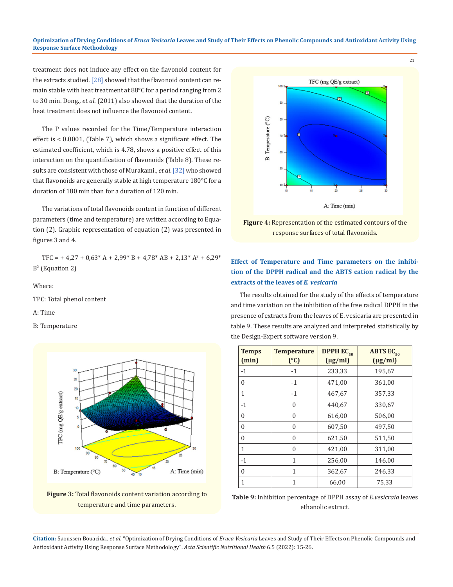#### **Optimization of Drying Conditions of** *Eruca Vesicaria* **Leaves and Study of Their Effects on Phenolic Compounds and Antioxidant Activity Using Response Surface Methodology**

treatment does not induce any effect on the flavonoid content for the extracts studied. [28] showed that the flavonoid content can remain stable with heat treatment at 88°C for a period ranging from 2 to 30 min. Dong., *et al*. (2011) also showed that the duration of the heat treatment does not influence the flavonoid content.

The P values recorded for the Time/Temperature interaction effect is < 0.0001, (Table 7), which shows a significant effect. The estimated coefficient, which is 4.78, shows a positive effect of this interaction on the quantification of flavonoids (Table 8). These results are consistent with those of Murakami., *et al*. [32] who showed that flavonoids are generally stable at high temperature 180°C for a duration of 180 min than for a duration of 120 min.

The variations of total flavonoids content in function of different parameters (time and temperature) are written according to Equation (2). Graphic representation of equation (2) was presented in figures 3 and 4.

TFC = + 4,27 + 0,63\* A + 2,99\* B + 4,78\* AB + 2,13\* A<sup>2</sup> + 6,29\*  $B^2$  (Equation 2)

Where:

TPC: Total phenol content

A: Time

B: Temperature



**Figure 3:** Total flavonoids content variation according to temperature and time parameters.



21

**Figure 4:** Representation of the estimated contours of the response surfaces of total flavonoids.

# **Effect of Temperature and Time parameters on the inhibition of the DPPH radical and the ABTS cation radical by the extracts of the leaves of** *E. vesicaria*

The results obtained for the study of the effects of temperature and time variation on the inhibition of the free radical DPPH in the presence of extracts from the leaves of E. vesicaria are presented in table 9. These results are analyzed and interpreted statistically by the Design-Expert software version 9.

| <b>Temps</b><br>(min) | <b>Temperature</b><br>(C) | <b>DPPH EC<sub>50</sub></b><br>$(\mu g/ml)$ | <b>ABTS EC<sub>50</sub></b><br>$(\mu g/ml)$ |
|-----------------------|---------------------------|---------------------------------------------|---------------------------------------------|
| $-1$                  | $-1$                      | 233,33                                      | 195,67                                      |
| $\mathbf{0}$          | $-1$                      | 471,00                                      | 361,00                                      |
| 1                     | $-1$                      | 467,67                                      | 357,33                                      |
| $-1$                  | $\theta$                  | 440,67                                      | 330,67                                      |
| $\theta$              | $\theta$                  | 616,00                                      | 506,00                                      |
| $\mathbf{0}$          | $\theta$                  | 607,50                                      | 497,50                                      |
| $\theta$              | $\theta$                  | 621,50                                      | 511,50                                      |
| $\mathbf{1}$          | $\overline{0}$            | 421,00                                      | 311,00                                      |
| $-1$                  | 1                         | 256,00                                      | 146,00                                      |
| $\theta$              | 1                         | 362,67                                      | 246,33                                      |
| 1                     | 1                         | 66,00                                       | 75,33                                       |

**Table 9:** Inhibition percentage of DPPH assay of *E.vesicraia* leaves ethanolic extract.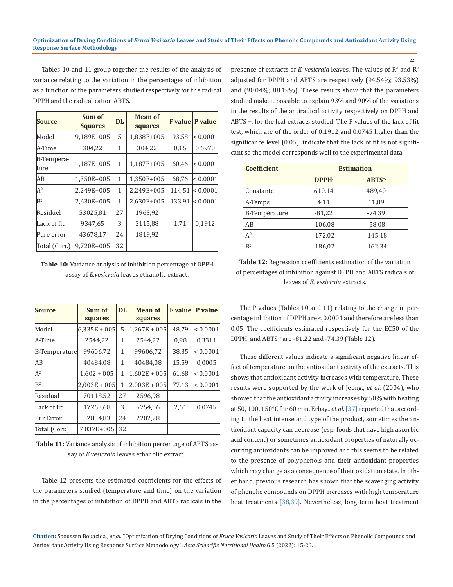#### **Optimization of Drying Conditions of** *Eruca Vesicaria* **Leaves and Study of Their Effects on Phenolic Compounds and Antioxidant Activity Using Response Surface Methodology**

22

Tables 10 and 11 group together the results of the analysis of variance relating to the variation in the percentages of inhibition as a function of the parameters studied respectively for the radical DPPH and the radical cation ABTS.

| <b>Source</b>      | Sum of<br><b>Squares</b> | <b>DL</b> | <b>Mean of</b><br>squares |        | <b>F</b> value   P value |
|--------------------|--------------------------|-----------|---------------------------|--------|--------------------------|
| Model              | 9,189E+005               | 5         | 1,838E+005                | 93,58  | $ $ < 0.0001             |
| A-Time             | 304,22                   | 1         | 304,22                    | 0,15   | 0,6970                   |
| B-Tempera-<br>ture | 1,187E+005               | 1         | 1,187E+005                | 60,46  | $ $ < 0.0001             |
| AВ                 | 1,350E+005               | 1         | 1,350E+005                | 68,76  | $ $ < 0.0001             |
| $A^2$              | 2.249E+005               | 1         | 2,249E+005                | 114.51 | $ $ < 0.0001             |
| B <sup>2</sup>     | 2,630E+005               | 1         | 2,630E+005                | 133.91 | $ $ < 0.0001             |
| Residuel           | 53025,81                 | 27        | 1963,92                   |        |                          |
| Lack of fit        | 9347,65                  | 3         | 3115,88                   | 1,71   | 0,1912                   |
| Pure error         | 43678,17                 | 24        | 1819,92                   |        |                          |
| Total (Corr.)      | 9.720E+005               | 32        |                           |        |                          |

**Table 10:** Variance analysis of inhibition percentage of DPPH assay of *E.vesicraia* leaves ethanolic extract.

| <b>Source</b>  | Sum of         | DL | <b>Mean of</b> | <b>F</b> value | P value      |
|----------------|----------------|----|----------------|----------------|--------------|
|                | squares        |    | squares        |                |              |
| Model          | $6,335E + 005$ | 5  | $1,267E + 005$ | 48.79          | ${}< 0.0001$ |
| A-Time         | 2544.22        | 1  | 2544.22        | 0,98           | 0.3311       |
| B-Temperature  | 99606,72       | 1  | 99606,72       | 38,35          | ${}< 0.0001$ |
| ΙAΒ            | 40484,08       | 1  | 40484,08       | 15,59          | 0,0005       |
| A <sup>2</sup> | $1,602 + 005$  | 1  | $1,602E + 005$ | 61,68          | ${}< 0.0001$ |
| $R^2$          | $2.003E + 005$ | 1  | $2,003E + 005$ | 77,13          | ${}< 0.0001$ |
| Rasidual       | 70118,52       | 27 | 2596,98        |                |              |
| Lack of fit    | 17263,68       | 3  | 5754,56        | 2,61           | 0.0745       |
| Pur Error      | 52854,83       | 24 | 2202,28        |                |              |
| Total (Corr.)  | 7,037E+005     | 32 |                |                |              |

**Table 11:** Variance analysis of inhibition percentage of ABTS assay of *E.vesicraia* leaves ethanolic extract..

Table 12 presents the estimated coefficients for the effects of the parameters studied (temperature and time) on the variation in the percentages of inhibition of DPPH and ABTS radicals in the

presence of extracts of *E. vesicraia* leaves. The values of  $R^2$  and  $R^2$ adjusted for DPPH and ABTS are respectively (94.54%; 93.53%) and (90.04%; 88.19%). These results show that the parameters studied make it possible to explain 93% and 90% of the variations in the results of the antiradical activity respectively on DPPH and ABTS +. for the leaf extracts studied. The P values of the lack of fit test, which are of the order of 0.1912 and 0.0745 higher than the significance level (0.05), indicate that the lack of fit is not significant so the model corresponds well to the experimental data.

| <b>Coefficient</b>   | <b>Estimation</b> |                   |  |  |  |  |
|----------------------|-------------------|-------------------|--|--|--|--|
|                      | <b>DPPH</b>       | ABTS <sup>+</sup> |  |  |  |  |
| Constante            | 610,14            | 489,40            |  |  |  |  |
| A-Temps              | 4,11              | 11,89             |  |  |  |  |
| <b>B-Température</b> | $-81,22$          | $-74,39$          |  |  |  |  |
| AB                   | $-106,08$         | $-58,08$          |  |  |  |  |
| $A^2$                | $-172,02$         | $-145,18$         |  |  |  |  |
| $R^2$                | $-186,02$         | $-162,34$         |  |  |  |  |

**Table 12:** Regression coefficients estimation of the variation of percentages of inhibition against DPPH and ABTS radicals of leaves of *E. vesicraia* extracts.

The P values (Tables 10 and 11) relating to the change in percentage inhibition of DPPH are < 0.0001 and therefore are less than 0.05. The coefficients estimated respectively for the EC50 of the DPPH. and ABTS. + are -81.22 and -74.39 (Table 12).

These different values indicate a significant negative linear effect of temperature on the antioxidant activity of the extracts. This shows that antioxidant activity increases with temperature. These results were supported by the work of Jeong., *et al*. (2004), who showed that the antioxidant activity increases by 50% with heating at 50, 100, 150°C for 60 min. Erbay., *et al.* [37] reported that according to the heat intense and type of the product, sometimes the antioxidant capacity can decrease (esp. foods that have high ascorbic acid content) or sometimes antioxidant properties of naturally occurring antioxidants can be improved and this seems to be related to the presence of polyphenols and their antioxidant properties which may change as a consequence of their oxidation state. In other hand, previous research has shown that the scavenging activity of phenolic compounds on DPPH increases with high temperature heat treatments [38,39]. Nevertheless, long-term heat treatment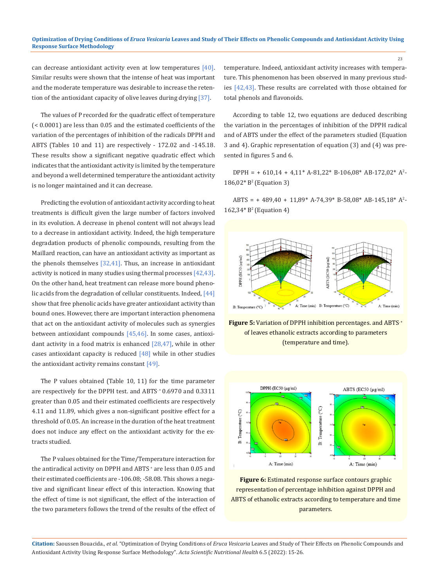can decrease antioxidant activity even at low temperatures [40]. Similar results were shown that the intense of heat was important and the moderate temperature was desirable to increase the retention of the antioxidant capacity of olive leaves during drying [37].

The values of P recorded for the quadratic effect of temperature (< 0.0001) are less than 0.05 and the estimated coefficients of the variation of the percentages of inhibition of the radicals DPPH and ABTS (Tables 10 and 11) are respectively - 172.02 and -145.18. These results show a significant negative quadratic effect which indicates that the antioxidant activity is limited by the temperature and beyond a well determined temperature the antioxidant activity is no longer maintained and it can decrease.

Predicting the evolution of antioxidant activity according to heat treatments is difficult given the large number of factors involved in its evolution. A decrease in phenol content will not always lead to a decrease in antioxidant activity. Indeed, the high temperature degradation products of phenolic compounds, resulting from the Maillard reaction, can have an antioxidant activity as important as the phenols themselves  $[32,41]$ . Thus, an increase in antioxidant activity is noticed in many studies using thermal processes [42,43]. On the other hand, heat treatment can release more bound phenolic acids from the degradation of cellular constituents. Indeed, [44] show that free phenolic acids have greater antioxidant activity than bound ones. However, there are important interaction phenomena that act on the antioxidant activity of molecules such as synergies between antioxidant compounds [45,46]. In some cases, antioxidant activity in a food matrix is enhanced [28,47], while in other cases antioxidant capacity is reduced  $[48]$  while in other studies the antioxidant activity remains constant [49].

The P values obtained (Table 10, 11) for the time parameter are respectively for the DPPH test. and ABTS + 0.6970 and 0.3311 greater than 0.05 and their estimated coefficients are respectively 4.11 and 11.89, which gives a non-significant positive effect for a threshold of 0.05. An increase in the duration of the heat treatment does not induce any effect on the antioxidant activity for the extracts studied.

The P values obtained for the Time/Temperature interaction for the antiradical activity on DPPH and ABTS + are less than 0.05 and their estimated coefficients are -106.08; -58.08. This shows a negative and significant linear effect of this interaction. Knowing that the effect of time is not significant, the effect of the interaction of the two parameters follows the trend of the results of the effect of temperature. Indeed, antioxidant activity increases with temperature. This phenomenon has been observed in many previous studies [42,43]. These results are correlated with those obtained for total phenols and flavonoids.

23

According to table 12, two equations are deduced describing the variation in the percentages of inhibition of the DPPH radical and of ABTS under the effect of the parameters studied (Equation 3 and 4). Graphic representation of equation (3) and (4) was presented in figures 5 and 6.

DPPH = + 610,14 + 4,11\* A-81,22\* B-106,08\* AB-172,02\* A<sup>2</sup>-186,02\* B<sup>2</sup>(Equation 3)

 $ABTS = +489,40 + 11,89^*$  A-74,39\* B-58,08\* AB-145,18\* A<sup>2</sup>-162,34\* B<sup>2</sup>(Equation 4)



**Figure 5:** Variation of DPPH inhibition percentages. and ABTS<sup>+</sup> of leaves ethanolic extracts according to parameters (temperature and time).



**Figure 6:** Estimated response surface contours graphic representation of percentage inhibition against DPPH and ABTS of ethanolic extracts according to temperature and time parameters.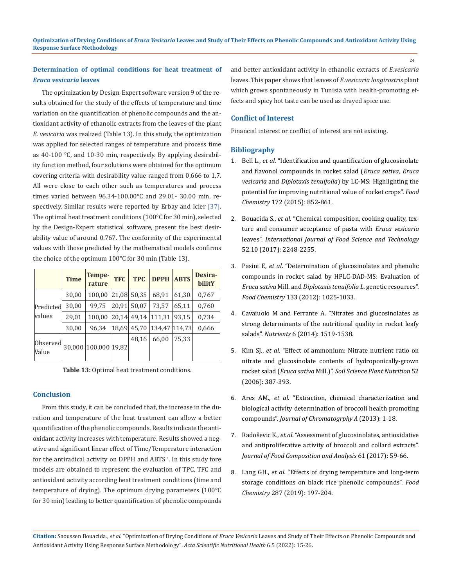# **Determination of optimal conditions for heat treatment of**  *Eruca vesicaria* **leaves**

The optimization by Design-Expert software version 9 of the results obtained for the study of the effects of temperature and time variation on the quantification of phenolic compounds and the antioxidant activity of ethanolic extracts from the leaves of the plant *E. vesicaria* was realized (Table 13). In this study, the optimization was applied for selected ranges of temperature and process time as 40-100 °C, and 10-30 min, respectively. By applying desirability function method, four solutions were obtained for the optimum covering criteria with desirability value ranged from 0,666 to 1,7. All were close to each other such as temperatures and process times varied between 96.34-100.00°C and 29.01- 30.00 min, respectively. Similar results were reported by Erbay and Icier [37]. The optimal heat treatment conditions (100°C for 30 min), selected by the Design-Expert statistical software, present the best desirability value of around 0.767. The conformity of the experimental values with those predicted by the mathematical models confirms the choice of the optimum 100°C for 30 min (Table 13).

|                     | <b>Time</b> | Tempe-<br>rature     | <b>TFC</b> | <b>TPC</b> | <b>DPPH</b>   | <b>ABTS</b> | Desira-<br>bilitY |
|---------------------|-------------|----------------------|------------|------------|---------------|-------------|-------------------|
| Predicted<br>values | 30,00       | 100,00               | 21,08      | 50,35      | 68,91         | 61,30       | 0,767             |
|                     | 30,00       | 99,75                | 20,91      | 50,07      | 73.57         | 65,11       | 0,760             |
|                     | 29,01       | 100,00               | 20.14      | 49,14      | 111,31        | 93,15       | 0,734             |
|                     | 30,00       | 96.34                | 18.69      | 45.70      | 134.47 114.73 |             | 0,666             |
| Observed<br>Value   |             | 30,000 100,000 19,82 |            | 48,16      | 66,00         | 75.33       |                   |

**Table 13:** Optimal heat treatment conditions.

### **Conclusion**

From this study, it can be concluded that, the increase in the duration and temperature of the heat treatment can allow a better quantification of the phenolic compounds. Results indicate the antioxidant activity increases with temperature. Results showed a negative and significant linear effect of Time/Temperature interaction for the antiradical activity on DPPH and ABTS<sup>+</sup>. In this study fore models are obtained to represent the evaluation of TPC, TFC and antioxidant activity according heat treatment conditions (time and temperature of drying). The optimum drying parameters (100°C for 30 min) leading to better quantification of phenolic compounds

and better antioxidant activity in ethanolic extracts of *E.vesicaria* leaves. This paper shows that leaves of *E.vesicaria longirostris* plant which grows spontaneously in Tunisia with health-promoting effects and spicy hot taste can be used as drayed spice use.

## **Conflict of Interest**

Financial interest or conflict of interest are not existing.

### **Bibliography**

- 1. Bell L., *et al*[. "Identification and quantification of glucosinolate](https://pubmed.ncbi.nlm.nih.gov/25442630/)  [and flavonol compounds in rocket salad \(](https://pubmed.ncbi.nlm.nih.gov/25442630/)*Eruca sativa*, *Eruca vesicaria* and *Diplotaxis tenuifolia*[\) by LC-MS: Highlighting the](https://pubmed.ncbi.nlm.nih.gov/25442630/)  [potential for improving nutritional value of rocket crops".](https://pubmed.ncbi.nlm.nih.gov/25442630/) *Food Chemistry* [172 \(2015\): 852-861.](https://pubmed.ncbi.nlm.nih.gov/25442630/)
- 2. Bouacida S., *et al*[. "Chemical composition, cooking quality, tex](https://www.researchgate.net/publication/318154035_Chemical_composition_cooking_quality_texture_and_consumer_acceptance_of_pasta_with_Eruca_vesicaria_leaves)[ture and consumer acceptance of pasta with](https://www.researchgate.net/publication/318154035_Chemical_composition_cooking_quality_texture_and_consumer_acceptance_of_pasta_with_Eruca_vesicaria_leaves) *Eruca vesicaria* leaves". *[International Journal of Food Science and Technology](https://www.researchgate.net/publication/318154035_Chemical_composition_cooking_quality_texture_and_consumer_acceptance_of_pasta_with_Eruca_vesicaria_leaves)* [52.10 \(2017\): 2248-2255.](https://www.researchgate.net/publication/318154035_Chemical_composition_cooking_quality_texture_and_consumer_acceptance_of_pasta_with_Eruca_vesicaria_leaves)
- 3. Pasini F., *et al*[. "Determination of glucosinolates and phenolic](https://www.semanticscholar.org/paper/Determination-of-glucosinolates-and-phenolic-in-by-Pasini-Verardo/748dd01389c5f028361c4b2ceebfc7575c03a233)  [compounds in rocket salad by HPLC-DAD-MS: Evaluation of](https://www.semanticscholar.org/paper/Determination-of-glucosinolates-and-phenolic-in-by-Pasini-Verardo/748dd01389c5f028361c4b2ceebfc7575c03a233)  *Eruca sativa* Mill. and *[Diplotaxis tenuifolia L](https://www.semanticscholar.org/paper/Determination-of-glucosinolates-and-phenolic-in-by-Pasini-Verardo/748dd01389c5f028361c4b2ceebfc7575c03a233)*. genetic resources". *Food Chemistry* [133 \(2012\): 1025-1033.](https://www.semanticscholar.org/paper/Determination-of-glucosinolates-and-phenolic-in-by-Pasini-Verardo/748dd01389c5f028361c4b2ceebfc7575c03a233)
- 4. [Cavaiuolo M and Ferrante A. "Nitrates and glucosinolates as](https://www.ncbi.nlm.nih.gov/pmc/articles/PMC4011049/)  [strong determinants of the nutritional quality in rocket leafy](https://www.ncbi.nlm.nih.gov/pmc/articles/PMC4011049/)  salads". *Nutrients* [6 \(2014\): 1519-1538.](https://www.ncbi.nlm.nih.gov/pmc/articles/PMC4011049/)
- 5. Kim SJ., *et al*[. "Effect of ammonium: Nitrate nutrient ratio on](https://agris.fao.org/agris-search/search.do?recordID=JP2007005839)  [nitrate and glucosinolate contents of hydroponically-grown](https://agris.fao.org/agris-search/search.do?recordID=JP2007005839)  rocket salad (*Eruca sativa* Mill.)". *[Soil Science Plant Nutrition](https://agris.fao.org/agris-search/search.do?recordID=JP2007005839)* 52 [\(2006\): 387-393.](https://agris.fao.org/agris-search/search.do?recordID=JP2007005839)
- 6. Ares AM., *et al*[. "Extraction, chemical characterization and](https://pubmed.ncbi.nlm.nih.gov/23899380/)  [biological activity determination of broccoli health promoting](https://pubmed.ncbi.nlm.nih.gov/23899380/)  compounds". *[Journal of Chromatogrphy A](https://pubmed.ncbi.nlm.nih.gov/23899380/)* (2013): 1-18.
- 7. Radoševic K., *et al*[. "Assessment of glucosinolates, antioxidative](https://www.researchgate.net/publication/313357924_Assessment_of_glucosinolates_antioxidative_and_antiproliferative_activity_of_broccoli_and_collard_extracts)  [and antiproliferative activity of broccoli and collard extracts".](https://www.researchgate.net/publication/313357924_Assessment_of_glucosinolates_antioxidative_and_antiproliferative_activity_of_broccoli_and_collard_extracts)  *[Journal of Food Composition and Analysis](https://www.researchgate.net/publication/313357924_Assessment_of_glucosinolates_antioxidative_and_antiproliferative_activity_of_broccoli_and_collard_extracts)* 61 (2017): 59-66.
- 8. Lang GH., *et al*[. "Effects of drying temperature and long-term](https://www.sciencedirect.com/science/article/abs/pii/S0308814619303425)  [storage conditions on black rice phenolic compounds".](https://www.sciencedirect.com/science/article/abs/pii/S0308814619303425) *Food Chemistry* [287 \(2019\): 197-204.](https://www.sciencedirect.com/science/article/abs/pii/S0308814619303425)

**Citation:** Saoussen Bouacida., *et al.* "Optimization of Drying Conditions of *Eruca Vesicaria* Leaves and Study of Their Effects on Phenolic Compounds and Antioxidant Activity Using Response Surface Methodology". *Acta Scientific Nutritional Health* 6.5 (2022): 15-26.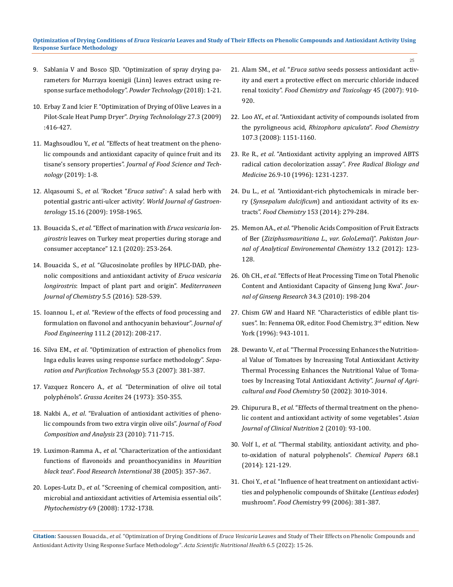- 9. [Sablania V and Bosco SJD. "Optimization of spray drying pa](https://www.sciencedirect.com/science/article/abs/pii/S003259101830370X)[rameters for Murraya koenigii \(Linn\) leaves extract using re](https://www.sciencedirect.com/science/article/abs/pii/S003259101830370X)[sponse surface methodology".](https://www.sciencedirect.com/science/article/abs/pii/S003259101830370X) *Powder Technology* (2018): 1-21.
- 10. [Erbay Z and Icier F. "Optimization of Drying of Olive Leaves in a](https://www.researchgate.net/publication/216197743_Optimization_of_Drying_of_Olive_Leaves_in_a_Pilot_Scale_Heat_Pump_Dryer)  [Pilot-Scale Heat Pump Dryer".](https://www.researchgate.net/publication/216197743_Optimization_of_Drying_of_Olive_Leaves_in_a_Pilot_Scale_Heat_Pump_Dryer) *Drying Technolology* 27.3 (2009) [:416-427.](https://www.researchgate.net/publication/216197743_Optimization_of_Drying_of_Olive_Leaves_in_a_Pilot_Scale_Heat_Pump_Dryer)
- 11. Maghsoudlou Y., *et al*[. "Effects of heat treatment on the pheno](https://www.researchgate.net/publication/332585443_Effects_of_heat_treatment_on_the_phenolic_compounds_and_antioxidant_capacity_of_quince_fruit_and_its_tisane%27s_sensory_properties)[lic compounds and antioxidant capacity of quince fruit and its](https://www.researchgate.net/publication/332585443_Effects_of_heat_treatment_on_the_phenolic_compounds_and_antioxidant_capacity_of_quince_fruit_and_its_tisane%27s_sensory_properties)  tisane's sensory properties". *[Journal of Food Science and Tech](https://www.researchgate.net/publication/332585443_Effects_of_heat_treatment_on_the_phenolic_compounds_and_antioxidant_capacity_of_quince_fruit_and_its_tisane%27s_sensory_properties)nology* [\(2019\): 1-8.](https://www.researchgate.net/publication/332585443_Effects_of_heat_treatment_on_the_phenolic_compounds_and_antioxidant_capacity_of_quince_fruit_and_its_tisane%27s_sensory_properties)
- 12. Alqasoumi S., *et al.* 'Rocket "*Eruca sativa*[": A salad herb with](https://pubmed.ncbi.nlm.nih.gov/19399927/)  [potential gastric anti-ulcer activity'.](https://pubmed.ncbi.nlm.nih.gov/19399927/) *World Journal of Gastroenterology* [15.16 \(2009\): 1958-1965.](https://pubmed.ncbi.nlm.nih.gov/19399927/)
- 13. Bouacida S., *et al*[. "Effect of marination with](https://www.jnsciences.org/sustainable-livestock-management/103-slm-12/611-effect-of-marination-with-eruca-vesicaria-longirostris-leaves-on-turkey-meat-properties-during-storage-and-consumer-acceptance.html) *Eruca vesicaria longirostris* [leaves on Turkey meat properties during storage and](https://www.jnsciences.org/sustainable-livestock-management/103-slm-12/611-effect-of-marination-with-eruca-vesicaria-longirostris-leaves-on-turkey-meat-properties-during-storage-and-consumer-acceptance.html)  [consumer acceptance" 12.1 \(2020\): 253-264.](https://www.jnsciences.org/sustainable-livestock-management/103-slm-12/611-effect-of-marination-with-eruca-vesicaria-longirostris-leaves-on-turkey-meat-properties-during-storage-and-consumer-acceptance.html)
- 14. Bouacida S., *et al*[. "Glucosinolate profiles by HPLC-DAD, phe](https://www.researchgate.net/publication/312264820_Glucosinolate_profiles_by_HPLC-DAD_phenolic_compositions_and_antioxidant_activity_of_Eruca_vesicaria_longirostris_Impact_of_plant_part_and_origin)[nolic compositions and antioxidant activity of](https://www.researchgate.net/publication/312264820_Glucosinolate_profiles_by_HPLC-DAD_phenolic_compositions_and_antioxidant_activity_of_Eruca_vesicaria_longirostris_Impact_of_plant_part_and_origin) *Eruca vesicaria longirostris*[: Impact of plant part and origin".](https://www.researchgate.net/publication/312264820_Glucosinolate_profiles_by_HPLC-DAD_phenolic_compositions_and_antioxidant_activity_of_Eruca_vesicaria_longirostris_Impact_of_plant_part_and_origin) *Mediterraneen [Journal of Chemistry](https://www.researchgate.net/publication/312264820_Glucosinolate_profiles_by_HPLC-DAD_phenolic_compositions_and_antioxidant_activity_of_Eruca_vesicaria_longirostris_Impact_of_plant_part_and_origin)* 5.5 (2016): 528-539.
- 15. Ioannou I., *et al*[. "Review of the effects of food processing and](https://www.sciencedirect.com/science/article/abs/pii/S0260877412000763)  [formulation on flavonol and anthocyanin behaviour".](https://www.sciencedirect.com/science/article/abs/pii/S0260877412000763) *Journal of Food Engineering* [111.2 \(2012\): 208-217.](https://www.sciencedirect.com/science/article/abs/pii/S0260877412000763)
- 16. Silva EM., *et al*[. "Optimization of extraction of phenolics from](https://www.sciencedirect.com/science/article/abs/pii/S1383586607000512)  [Inga edulis leaves using response surface methodology".](https://www.sciencedirect.com/science/article/abs/pii/S1383586607000512) *Sepa[ration and Purification Technology](https://www.sciencedirect.com/science/article/abs/pii/S1383586607000512)* 55.3 (2007): 381-387.
- 17. Vazquez Roncero A., *et al*[. "Determination of olive oil total](https://www.researchgate.net/publication/316644883_Determination_of_Total_Polyphenolic_Antioxidants_Contents_in_West-Bank_Olive_Oil)  polyphénols". *Grassa Aceites* [24 \(1973\): 350-355.](https://www.researchgate.net/publication/316644883_Determination_of_Total_Polyphenolic_Antioxidants_Contents_in_West-Bank_Olive_Oil)
- 18. Nakbi A., *et al*[. "Evaluation of antioxidant activities of pheno](https://www.researchgate.net/publication/235410617_Evaluation_of_antioxidant_activities_of_phenolic_compounds_from_two_extra_virgin_olive_oils)[lic compounds from two extra virgin olive oils".](https://www.researchgate.net/publication/235410617_Evaluation_of_antioxidant_activities_of_phenolic_compounds_from_two_extra_virgin_olive_oils) *Journal of Food [Composition and Analysis](https://www.researchgate.net/publication/235410617_Evaluation_of_antioxidant_activities_of_phenolic_compounds_from_two_extra_virgin_olive_oils)* 23 (2010): 711-715.
- 19. Luximon-Ramma A., *et al*[. "Characterization of the antioxidant](https://www.sciencedirect.com/science/article/pii/S2213453018301435)  [functions of flavonoids and proanthocyanidins in](https://www.sciencedirect.com/science/article/pii/S2213453018301435) *Mauritian black teas*". *[Food Research Interntional](https://www.sciencedirect.com/science/article/pii/S2213453018301435)* 38 (2005): 357-367.
- 20. Lopes-Lutz D., *et al*[. "Screening of chemical composition, anti](https://pubmed.ncbi.nlm.nih.gov/18417176/)[microbial and antioxidant activities of Artemisia essential oils".](https://pubmed.ncbi.nlm.nih.gov/18417176/)  *Phytochemistry* [69 \(2008\): 1732-1738.](https://pubmed.ncbi.nlm.nih.gov/18417176/)

21. Alam SM., *et al*. "*Eruca sativa* [seeds possess antioxidant activ](https://pubmed.ncbi.nlm.nih.gov/17207565/)[ity and exert a protective effect on mercuric chloride induced](https://pubmed.ncbi.nlm.nih.gov/17207565/)  renal toxicity". *[Food Chemistry and Toxicology](https://pubmed.ncbi.nlm.nih.gov/17207565/)* 45 (2007): 910- [920.](https://pubmed.ncbi.nlm.nih.gov/17207565/)

- 22. Loo AY., *et al*[. "Antioxidant activity of compounds isolated from](https://www.sciencedirect.com/science/article/abs/pii/S0308814607009612?via%3Dihub)  [the pyroligneous acid,](https://www.sciencedirect.com/science/article/abs/pii/S0308814607009612?via%3Dihub) *Rhizophora apiculata*". *Food Chemistry*  [107.3 \(2008\): 1151-1160.](https://www.sciencedirect.com/science/article/abs/pii/S0308814607009612?via%3Dihub)
- 23. Re R., *et al*[. "Antioxidant activity applying an improved ABTS](https://www.sciencedirect.com/science/article/abs/pii/S0891584998003153)  [radical cation decolorization assay".](https://www.sciencedirect.com/science/article/abs/pii/S0891584998003153) *Free Radical Biology and Medicine* [26.9-10 \(1996\): 1231-1237.](https://www.sciencedirect.com/science/article/abs/pii/S0891584998003153)
- 24. Du L., *et al*[. "Antioxidant-rich phytochemicals in miracle ber](https://pubmed.ncbi.nlm.nih.gov/24491731/)ry (*Synsepalum dulcificum*[\) and antioxidant activity of its ex](https://pubmed.ncbi.nlm.nih.gov/24491731/)tracts". *Food Chemistry* [153 \(2014\): 279-284.](https://pubmed.ncbi.nlm.nih.gov/24491731/)
- 25. Memon AA., *et al*[. "Phenolic Acids Composition of Fruit Extracts](https://www.researchgate.net/publication/259198678_Phenolic_Acids_Composition_of_Fruit_Extracts_of_Ber_Ziziphus_mauritiana_L_var_Golo_Lemai)  of Ber (*[Ziziphusmauritiana L., var. GoloLemai](https://www.researchgate.net/publication/259198678_Phenolic_Acids_Composition_of_Fruit_Extracts_of_Ber_Ziziphus_mauritiana_L_var_Golo_Lemai)*)". *Pakistan Jour[nal of Analytical Environemental Chemistry](https://www.researchgate.net/publication/259198678_Phenolic_Acids_Composition_of_Fruit_Extracts_of_Ber_Ziziphus_mauritiana_L_var_Golo_Lemai)* 13.2 (2012): 123- [128.](https://www.researchgate.net/publication/259198678_Phenolic_Acids_Composition_of_Fruit_Extracts_of_Ber_Ziziphus_mauritiana_L_var_Golo_Lemai)
- 26. Oh CH., *et al*[. "Effects of Heat Processing Time on Total Phenolic](http://kpubs.org/article/articleMain.kpubs?articleANo=GROSBR_2010_v34n3_198)  [Content and Antioxidant Capacity of Ginseng Jung Kwa".](http://kpubs.org/article/articleMain.kpubs?articleANo=GROSBR_2010_v34n3_198) *Jour[nal of Ginseng Research](http://kpubs.org/article/articleMain.kpubs?articleANo=GROSBR_2010_v34n3_198)* 34.3 (2010): 198-204
- 27. Chism GW and Haard NF. "Characteristics of edible plant tissues". In: Fennema OR, editor. Food Chemistry, 3<sup>rd</sup> edition. New York (1996): 943-1011.
- 28. Dewanto V., *et al*[. "Thermal Processing Enhances the Nutrition](https://pubmed.ncbi.nlm.nih.gov/11982434/)[al Value of Tomatoes by Increasing Total Antioxidant Activity](https://pubmed.ncbi.nlm.nih.gov/11982434/)  [Thermal Processing Enhances the Nutritional Value of Toma](https://pubmed.ncbi.nlm.nih.gov/11982434/)[toes by Increasing Total Antioxidant Activity".](https://pubmed.ncbi.nlm.nih.gov/11982434/) *Journal of Agri[cultural and Food Chemistry](https://pubmed.ncbi.nlm.nih.gov/11982434/)* 50 (2002): 3010-3014.
- 29. Chipurura B., *et al*[. "Effects of thermal treatment on the pheno](https://scialert.net/abstract/?doi=ajcn.2010.93.100)[lic content and antioxidant activity of some vegetables".](https://scialert.net/abstract/?doi=ajcn.2010.93.100) *Asian [Journal of Clinical Nutrition](https://scialert.net/abstract/?doi=ajcn.2010.93.100)* 2 (2010): 93-100.
- 30. Volf I., *et al*[. "Thermal stability, antioxidant activity, and pho](https://www.degruyter.com/document/doi/10.2478/s11696-013-0417-6/html)[to-oxidation of natural polyphenols".](https://www.degruyter.com/document/doi/10.2478/s11696-013-0417-6/html) *Chemical Papers* 68.1 [\(2014\): 121-129.](https://www.degruyter.com/document/doi/10.2478/s11696-013-0417-6/html)
- 31. Choi Y., *et al*[. "Influence of heat treatment on antioxidant activi](https://www.sciencedirect.com/science/article/abs/pii/S0308814605006540?via%3Dihub)[ties and polyphenolic compounds of Shiitake \(](https://www.sciencedirect.com/science/article/abs/pii/S0308814605006540?via%3Dihub)*Lentinus edodes*) mushroom". *Food Chem*[istry 99 \(2006\): 381-387.](https://www.sciencedirect.com/science/article/abs/pii/S0308814605006540?via%3Dihub)

**Citation:** Saoussen Bouacida., *et al.* "Optimization of Drying Conditions of *Eruca Vesicaria* Leaves and Study of Their Effects on Phenolic Compounds and Antioxidant Activity Using Response Surface Methodology". *Acta Scientific Nutritional Health* 6.5 (2022): 15-26.